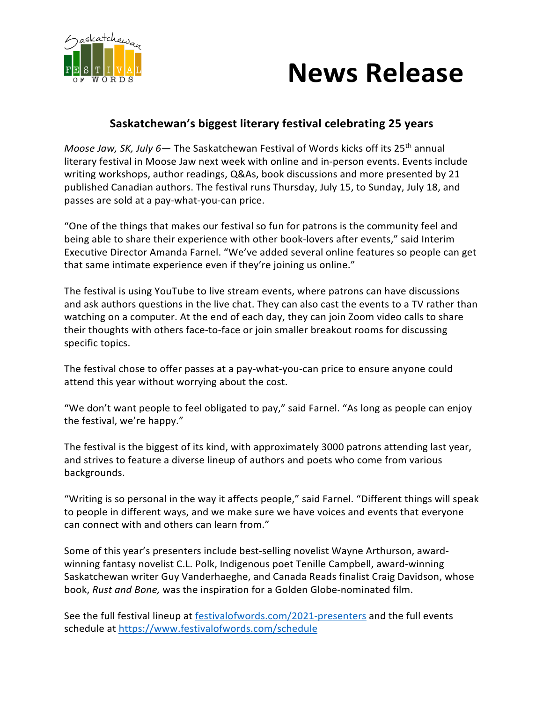

## **News Release**

## **Saskatchewan's biggest literary festival celebrating 25 years**

*Moose Jaw, SK, July 6*— The Saskatchewan Festival of Words kicks off its 25<sup>th</sup> annual literary festival in Moose Jaw next week with online and in-person events. Events include writing workshops, author readings, Q&As, book discussions and more presented by 21 published Canadian authors. The festival runs Thursday, July 15, to Sunday, July 18, and passes are sold at a pay-what-you-can price.

"One of the things that makes our festival so fun for patrons is the community feel and being able to share their experience with other book-lovers after events," said Interim Executive Director Amanda Farnel. "We've added several online features so people can get that same intimate experience even if they're joining us online."

The festival is using YouTube to live stream events, where patrons can have discussions and ask authors questions in the live chat. They can also cast the events to a TV rather than watching on a computer. At the end of each day, they can join Zoom video calls to share their thoughts with others face-to-face or join smaller breakout rooms for discussing specific topics.

The festival chose to offer passes at a pay-what-you-can price to ensure anyone could attend this year without worrying about the cost.

"We don't want people to feel obligated to pay," said Farnel. "As long as people can enjoy the festival, we're happy."

The festival is the biggest of its kind, with approximately 3000 patrons attending last year, and strives to feature a diverse lineup of authors and poets who come from various backgrounds.

"Writing is so personal in the way it affects people," said Farnel. "Different things will speak to people in different ways, and we make sure we have voices and events that everyone can connect with and others can learn from."

Some of this year's presenters include best-selling novelist Wayne Arthurson, awardwinning fantasy novelist C.L. Polk, Indigenous poet Tenille Campbell, award-winning Saskatchewan writer Guy Vanderhaeghe, and Canada Reads finalist Craig Davidson, whose book, *Rust and Bone,* was the inspiration for a Golden Globe-nominated film.

See the full festival lineup at festivalofwords.com/2021-presenters and the full events schedule at https://www.festivalofwords.com/schedule